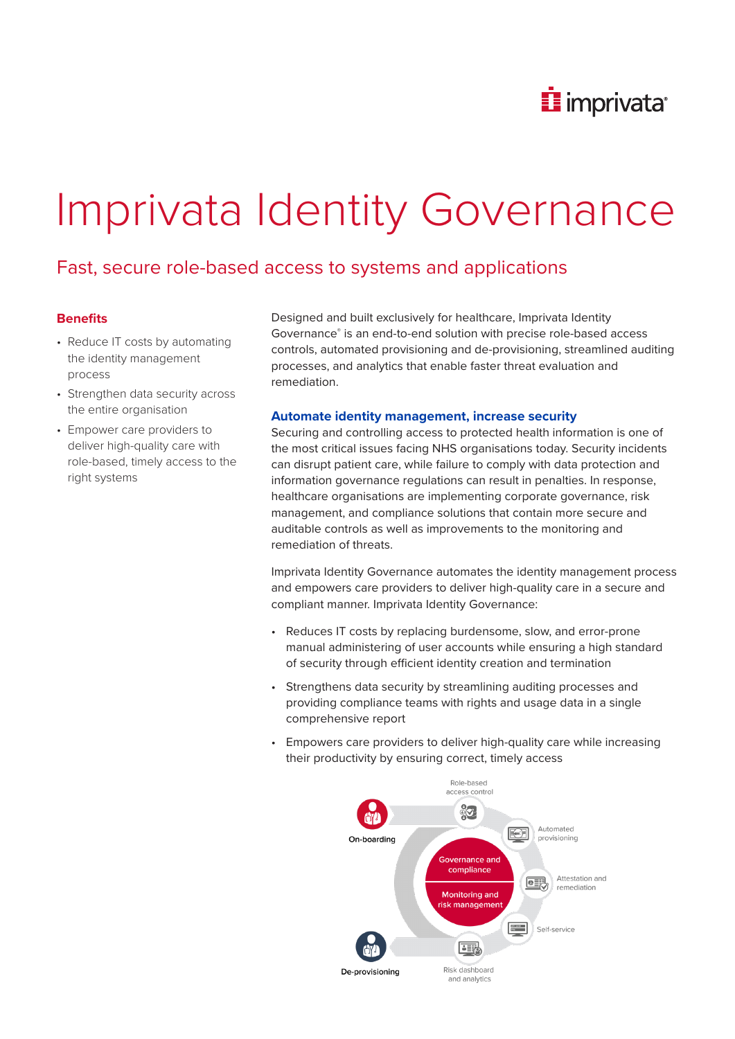

# Imprivata Identity Governance

# Fast, secure role-based access to systems and applications

# **Benefits**

- Reduce IT costs by automating the identity management process
- Strengthen data security across the entire organisation
- Empower care providers to deliver high-quality care with role-based, timely access to the right systems

Designed and built exclusively for healthcare, Imprivata Identity Governance® is an end-to-end solution with precise role-based access controls, automated provisioning and de-provisioning, streamlined auditing processes, and analytics that enable faster threat evaluation and remediation.

### **Automate identity management, increase security**

Securing and controlling access to protected health information is one of the most critical issues facing NHS organisations today. Security incidents can disrupt patient care, while failure to comply with data protection and information governance regulations can result in penalties. In response, healthcare organisations are implementing corporate governance, risk management, and compliance solutions that contain more secure and auditable controls as well as improvements to the monitoring and remediation of threats.

Imprivata Identity Governance automates the identity management process and empowers care providers to deliver high-quality care in a secure and compliant manner. Imprivata Identity Governance:

- Reduces IT costs by replacing burdensome, slow, and error-prone manual administering of user accounts while ensuring a high standard of security through efficient identity creation and termination
- Strengthens data security by streamlining auditing processes and providing compliance teams with rights and usage data in a single comprehensive report
- Empowers care providers to deliver high-quality care while increasing their productivity by ensuring correct, timely access